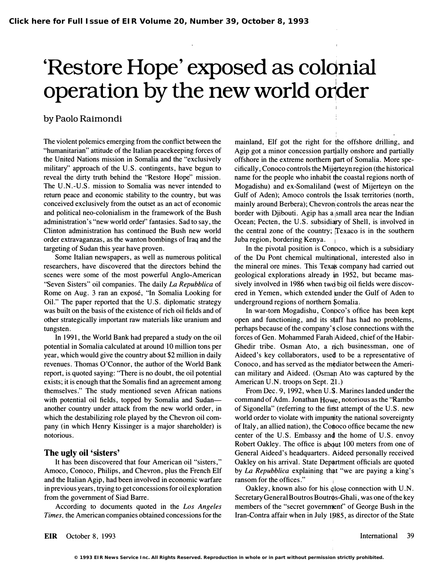# 'Restore Hope' exposed as coldnial operation by the new world order

## by Paolo Raimondi

The violent polemics emerging from the conflict between the "humanitarian" attitude of the Italian peacekeeping forces of the United Nations mission in Somalia and the "exclusively military" approach of the U.S. contingents, have begun to reveal the dirty truth behind the "Restore Hope" mission. The U.N.-U.S. mission to Somalia was never intended to return peace and economic stability to the country, but was conceived exclusively from the outset as an act of economic and political neo-colonialism in the framework of the Bush administration's "new world order" fantasies. Sad to say, the Clinton administration has continued the Bush new world order extravaganzas, as the wanton bombings of Iraq and the targeting of Sudan this year have proven.

Some Italian newspapers, as well as numerous political researchers, have discovered that the directors behind the scenes were some of the most powerful Anglo-American "Seven Sisters" oil companies. The daily La Repubblica of Rome on Aug. 3 ran an expose, "In Somalia Looking for Oil." The paper reported that the U. S. diplomatic strategy was built on the basis of the existence of rich oil fields and of other strategically important raw materials like uranium and tungsten.

In 1991, the World Bank had prepared a study on the oil potential in Somalia calculated at around 10 million tons per year, which would give the country about \$2 million in daily revenues. Thomas O'Connor, the author of the World Bank report, is quoted saying: 'There is no doubt, the oil potential exists; it is enough that the Somalis find an agreement among themselves." The study mentioned seven African nations with potential oil fields, topped by Somalia and Sudananother country under attack from the new world order, in which the destabilizing role played by the Chevron oil company (in which Henry Kissinger is a major shareholder) is notorious.

#### The ugly oil 'sisters'

It has been discovered that four American oil "sisters," Amoco, Conoco, Philips, and Chevron, plus the French Elf and the Italian Agip, had been involved in economic warfare in previous years, trying to get concessions for oil exploration from the government of Siad Barre.

According to documents quoted in the Los Angeles Times, the American companies obtained concessions for the

mainland, Elf got the right for the offshore drilling, and Agip got a minor concession part�ally onshore and partially offshore in the extreme northern gart of Somalia. More specifically, Conoco controls the Mijerteyn region (the historical name for the people who inhabit the coastal regions north of Mogadishu) and ex-Somaliland (west of Mijerteyn on the Gulf of Aden); Amoco controls the Issak territories (north, mainly around Berbera); Chevroni controls the areas near the border with Djibouti. Agip has a small area near the Indian Ocean; Pecten, the U.S. subsidiary of Shell, is involved in the central zone of the country; Texaco is in the southern Juba region, bordering Kenya.

In the pivotal position is Conpco, which is a subsidiary of the Du Pont chemical multinational, interested also in the mineral ore mines. This Texas company had carried out geological explorations already in 1952, but became massively involved in 1986 when twd big oil fields were discovered in Yemen, which extended �nder the Gulf of Aden to underground regions of northern \$omalia.

In war-tom Mogadishu, Conpco's office has been kept open and functioning, and its staff has had no problems, perhaps because of the company' � close connections with the forces of Gen. Mohammed Farah Aideed, chief of the Habir-Ghedir tribe. Osman Ato, a riich businessman, one of Aideed's key collaborators, used to be a representative of Conoco, and has served as the m�diator between the American military and Aideed. (Osmar Ato was captured by the American U.N. troops on Sept. 21.)

From Dec. 9, 1992, when U.S. Marines landed under the command of Adm. Jonathan Howe, notorious as the "Rambo" of Sigonella" (referring to the first attempt of the U.S. new world order to violate with impunity the national sovereignty of Italy, an allied nation), the Conoco office became the new center of the U.S. Embassy an4 the home of U.S. envoy Robert Oakley. The office is abqut 100 meters from one of General Aideed's headquarters. �ideed personally received Oakley on his arrival. State Dep�rtment officials are quoted by La Repubblica explaining that "we are paying a king's ransom for the offices."

Oakley, known also for his qlose connection with U.N. Secretary General Boutros Boutros-Ghali, was one of the key members of the "secret government" of George Bush in the Iran-Contra affair when in July 1985, as director of the State